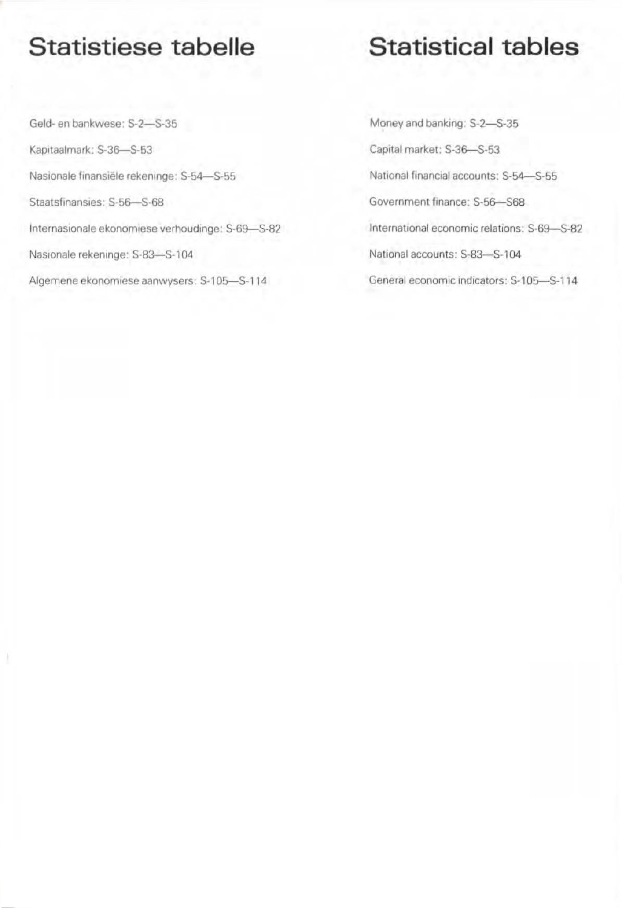## Statistiese tabelle

Geld- en bankwese: \$-2-5-35 Kapitaalmark: S-36-S-53 Nasionale finansiële rekeninge: S-54-S-55 Staatsfinansies: S-56-S-68 Internasionale ekonomiese verhoudinge: S-69-S-82 Nasionale rekeninge: S-83-S-104 Algemene ekonomiese aanwysers: S-105-S-114

## Statistical tables

Money and banking: S-2-S-35 Capital market: S-36-S-53 National financial accounts; S-54-S-55 Government finance: S-56-S68 International economic relations: S-69-S-82 National accounts: S-83-S-104 General economic indicators: S-105-S-114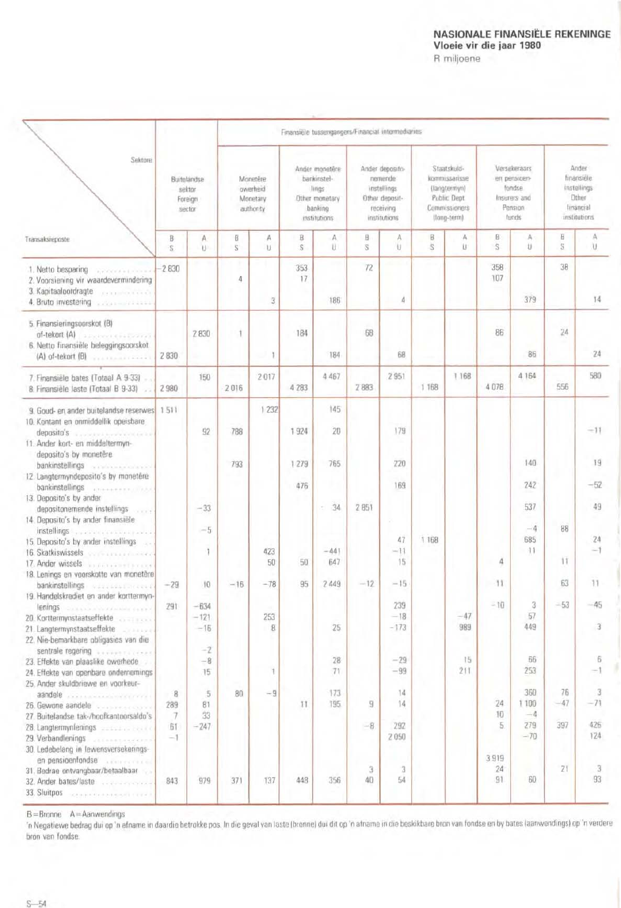## NASIONALE FINANSIËLE REKENINGE Vloeie vir die jaar 1980

R miljoene

|                                                                                                                                                                                                | Finansiele tussengangers/Financial intermediaries |                           |                                               |                 |                                                                                    |               |                                                                                          |                         |                                                                                             |              |                                                                            |                                      |                                                                                 |                          |
|------------------------------------------------------------------------------------------------------------------------------------------------------------------------------------------------|---------------------------------------------------|---------------------------|-----------------------------------------------|-----------------|------------------------------------------------------------------------------------|---------------|------------------------------------------------------------------------------------------|-------------------------|---------------------------------------------------------------------------------------------|--------------|----------------------------------------------------------------------------|--------------------------------------|---------------------------------------------------------------------------------|--------------------------|
| Sektore                                                                                                                                                                                        | Buiteländse<br>sektor<br>Foreign<br>sector        |                           | Monetêre<br>owerheid<br>Monetary<br>authority |                 | Ander monetere<br>bankinstel-<br>lings<br>Other monetary<br>banking<br>mstitutions |               | Ander deposito-<br>nemende<br>instellings<br>Other deposit-<br>receiving<br>institutions |                         | Staatskuld-<br>kommissarisse<br>(langtermyn)<br>Public Dept<br>Commissioners<br>(long-term) |              | Versekeraars<br>en pensioen-<br>fondse<br>Insurers and<br>Pension<br>funds |                                      | Ander<br>finansiele<br>instellings<br>Other<br><b>financial</b><br>institutions |                          |
| Transaksieposte                                                                                                                                                                                | B<br>S.                                           | $\mathbb{A}$<br>U         | B<br>S                                        | А<br>u          | B<br>S                                                                             | A<br>U.       | B<br>S                                                                                   | А<br>U                  | B<br>S.                                                                                     | Α<br>U       | B.<br>S                                                                    | A<br>U                               | B<br>S                                                                          | A<br>U                   |
| 1. Netto besparing<br><b>WEIGHT FROM</b><br>2. Voorsiening vir waardevermindering<br>3. Kapitaaloordragte                                                                                      | $-2830$                                           |                           | 4                                             | 3               | 353<br>17                                                                          | 186           | 72                                                                                       | 4                       |                                                                                             |              | 358<br>107                                                                 | 379                                  | 38                                                                              | 14                       |
| 5. Finansieringsoorskot (B)<br>of-tekort (A)<br>associated and contract<br>6. Netto finansiële beleggingsoorskot<br>(A) of-tekort (B)                                                          | 2 8 3 0                                           | 2830                      |                                               | $\rightarrow$ 1 | 184                                                                                | 184           | -68                                                                                      | 68                      |                                                                                             |              | 86                                                                         | 86                                   | 24                                                                              | 24                       |
| 7. Finansiële bates (Totaal A 9-33)<br>8. Finansièle laste (Totaal B 9-33)                                                                                                                     | 2980                                              | 150                       | 2016                                          | 2017            | 4 283                                                                              | 4 4 6 7       | 2883                                                                                     | 2 9 5 1                 | 1 1 68                                                                                      | 1 168        | 4078                                                                       | 4 1 6 4                              | 556                                                                             | 580                      |
| 9. Goud- en ander buitelandse reserwes 1511<br>10. Kontant en onmiddellik opeisbare<br>deposito's<br><b>Sounded Services (A)</b><br>11. Ander kort- en middeltermyn-<br>deposito's by monetere |                                                   | 92                        | 788                                           | 1232            | 1.924                                                                              | 145<br>20     |                                                                                          | 179                     |                                                                                             |              |                                                                            |                                      |                                                                                 | $-11$                    |
| 12. Langtermyndeposito's by monetère                                                                                                                                                           |                                                   |                           | 793                                           |                 | 1.279<br>476                                                                       | 765           |                                                                                          | 220<br>169              |                                                                                             |              |                                                                            | 140<br>242                           |                                                                                 | 19<br>$-52$              |
| bankinstellings<br>stransporter in the<br>13. Deposito's by ander<br>depositonemende instellings<br>oork<br>14. Deposito's by ander finansiële                                                 |                                                   | $-33$                     |                                               |                 |                                                                                    | 34<br>œ       | 2851                                                                                     |                         |                                                                                             |              |                                                                            | 537                                  |                                                                                 | 49                       |
| instellings<br>15. Deposito's by ander instellings<br>16. Skatkiswissels<br><b>CONTRACTOR</b><br>17. Ander wissels <b>Andrea</b> March 17. Ander wissels                                       |                                                   | $-5$<br>I)                |                                               | 423<br>50       | 50                                                                                 | $-441$<br>647 |                                                                                          | 47<br>$-11$<br>15       | 1 1 68                                                                                      |              | 4                                                                          | $-4$<br>685<br>$-11$                 | 88<br>11                                                                        | $24\,$<br>$\geq$ 1       |
| 18. Lenings en voorskotte van monetêre<br>bankinstellings<br><b>Oddesdoss</b> Present<br>19. Handelskrediet en ander korttermyn-                                                               | $-29$                                             | 10                        | $-16$                                         | $-78$           | 95                                                                                 | 2 4 4 9       | $-12$                                                                                    | $-15$                   |                                                                                             |              | $-11$                                                                      |                                      | 63                                                                              | 11                       |
| lenings consumers and consumers<br>20. Korttermynstaatseffekte<br>21. Langtermynstaatseffekte<br>22. Nie-bemarkbare obligasies van die                                                         | 291                                               | $-634$<br>$-121$<br>$-16$ |                                               | 253<br>8        |                                                                                    | 25            |                                                                                          | 239<br>$-18$<br>$-173$  |                                                                                             | $-47$<br>989 | $-10$                                                                      | 3<br>57<br>449                       | $-53$                                                                           | 3                        |
| sentrale regering<br>23. Effekte van plaaslike owerhede<br>24. Effekte van openbare ondernemings<br>25. Ander skuldbriewe en voorkeur-                                                         |                                                   | $-2$<br>$-8$<br>15        |                                               | 1               |                                                                                    | 28<br>71      |                                                                                          | $-29$<br>$-99$          |                                                                                             | 15<br>211    |                                                                            | 56<br>253                            |                                                                                 | 6<br>$-1$                |
| 27. Buitelandse tak-/hoofkantoorsaldo's<br>28. Langtermynienings and control of the<br>29. Verbandlenings<br><b>VELOCHECOCO</b>                                                                | $-8$<br>289<br>7<br>61<br>$-1$                    | 5<br>81<br>33<br>$-247$   | 80                                            | $-9$            | 11                                                                                 | 173<br>195    | 9<br>$-8$                                                                                | 14<br>14<br>292<br>2050 |                                                                                             |              | 24<br>$10^{-1}$<br>5.                                                      | 360<br>1 100<br>$-4$<br>279<br>$-70$ | 76<br>$-47$<br>397                                                              | 3<br>$-71$<br>425<br>124 |
| 30. Ledebelang in lewensversekerings-<br>en pensioenfondse<br>31. Bedrae ontvangbaar/betaalbaar<br>32. Ander bates/laste<br>33. Sluitpos entre experience and the state                        | 843                                               | 979                       | 371                                           | 137             | 448                                                                                | 356           | з<br>40                                                                                  | 3<br>54                 |                                                                                             |              | 3919<br>24<br>91                                                           | 60                                   | ZI.                                                                             | 3<br>93                  |

 $B =$ Bronne  $A =$ Aanwendings

'n Negatiewe bedrag dui op 'n afname in daardie betrokke pos. In die geval van laste (bronne) dui dit op 'n afname in die beskikbare bron van fondse en by bates (aanwendings) op 'n verdere bron van fondse.